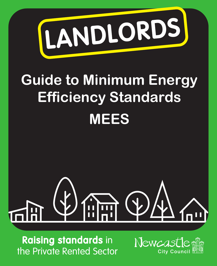

### **Guide to Minimum Energy Efficiency Standards MEES**

## $\cdot$   $($   $\downarrow$   $)$ **Alum**

Raising standards in the Private Rented Sector

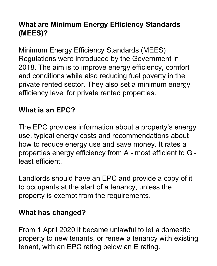#### **What are Minimum Energy Efficiency Standards (MEES)?**

Minimum Energy Efficiency Standards (MEES) Regulations were introduced by the Government in 2018. The aim is to improve energy efficiency, comfort and conditions while also reducing fuel poverty in the private rented sector. They also set a minimum energy efficiency level for private rented properties.

#### **What is an EPC?**

The EPC provides information about a property's energy use, typical energy costs and recommendations about how to reduce energy use and save money. It rates a properties energy efficiency from A - most efficient to G least efficient.

Landlords should have an EPC and provide a copy of it to occupants at the start of a tenancy, unless the property is exempt from the requirements.

#### **What has changed?**

From 1 April 2020 it became unlawful to let a domestic property to new tenants, or renew a tenancy with existing tenant, with an EPC rating below an E rating.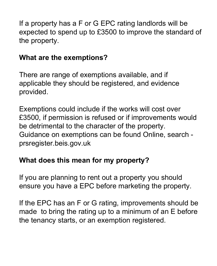If a property has a F or G EPC rating landlords will be expected to spend up to £3500 to improve the standard of the property.

#### **What are the exemptions?**

There are range of exemptions available, and if applicable they should be registered, and evidence provided.

Exemptions could include if the works will cost over £3500, if permission is refused or if improvements would be detrimental to the character of the property. Guidance on exemptions can be found Online, search prsregister.beis.gov.uk

#### **What does this mean for my property?**

If you are planning to rent out a property you should ensure you have a EPC before marketing the property.

If the EPC has an F or G rating, improvements should be made to bring the rating up to a minimum of an E before the tenancy starts, or an exemption registered.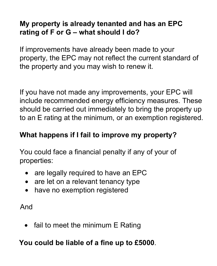#### **My property is already tenanted and has an EPC rating of F or G – what should I do?**

If improvements have already been made to your property, the EPC may not reflect the current standard of the property and you may wish to renew it.

If you have not made any improvements, your EPC will include recommended energy efficiency measures. These should be carried out immediately to bring the property up to an E rating at the minimum, or an exemption registered.

#### **What happens if I fail to improve my property?**

You could face a financial penalty if any of your of properties:

- are legally required to have an EPC
- are let on a relevant tenancy type
- have no exemption registered

And

fail to meet the minimum E Rating

**You could be liable of a fine up to £5000**.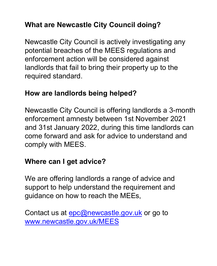#### **What are Newcastle City Council doing?**

Newcastle City Council is actively investigating any potential breaches of the MEES regulations and enforcement action will be considered against landlords that fail to bring their property up to the required standard.

#### **How are landlords being helped?**

Newcastle City Council is offering landlords a 3-month enforcement amnesty between 1st November 2021 and 31st January 2022, during this time landlords can come forward and ask for advice to understand and comply with MEES.

#### **Where can I get advice?**

We are offering landlords a range of advice and support to help understand the requirement and guidance on how to reach the MEEs,

Contact us at epc@newcastle.gov.uk or go to www.newcastle.gov.uk/MEES